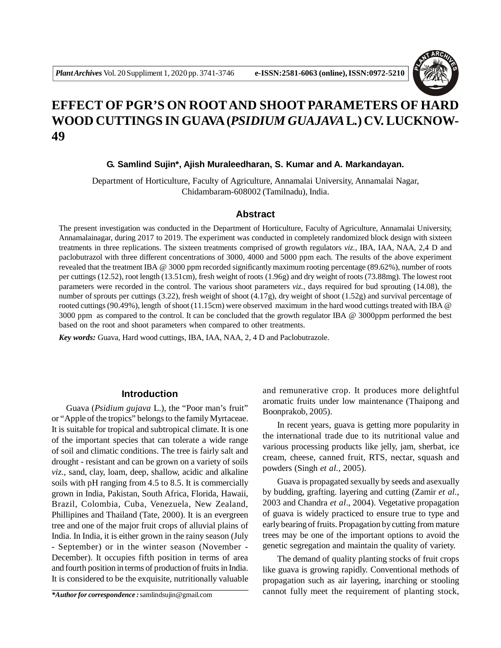

# **EFFECT OF PGR'S ON ROOTAND SHOOT PARAMETERS OF HARD WOOD CUTTINGS IN GUAVA (***PSIDIUM GUAJAVA***L***.***) CV. LUCKNOW-49**

## **G. Samlind Sujin\*, Ajish Muraleedharan, S. Kumar and A. Markandayan.**

Department of Horticulture, Faculty of Agriculture, Annamalai University, Annamalai Nagar, Chidambaram-608002 (Tamilnadu), India.

#### **Abstract**

The present investigation was conducted in the Department of Horticulture, Faculty of Agriculture, Annamalai University, Annamalainagar, during 2017 to 2019. The experiment was conducted in completely randomized block design with sixteen treatments in three replications. The sixteen treatments comprised of growth regulators *viz.,* IBA, IAA, NAA, 2,4 D and paclobutrazol with three different concentrations of 3000, 4000 and 5000 ppm each. The results of the above experiment revealed that the treatment IBA @ 3000 ppm recorded significantly maximum rooting percentage (89.62%), number of roots per cuttings (12.52), root length (13.51cm), fresh weight of roots (1.96g) and dry weight of roots (73.88mg). The lowest root parameters were recorded in the control. The various shoot parameters *viz.*, days required for bud sprouting (14.08), the number of sprouts per cuttings (3.22), fresh weight of shoot (4.17g), dry weight of shoot (1.52g) and survival percentage of rooted cuttings (90.49%), length of shoot (11.15cm) were observed maximum in the hard wood cuttings treated with IBA @ 3000 ppm as compared to the control. It can be concluded that the growth regulator IBA @ 3000ppm performed the best based on the root and shoot parameters when compared to other treatments.

*Key words:* Guava, Hard wood cuttings, IBA, IAA, NAA, 2, 4 D and Paclobutrazole.

## **Introduction**

Guava (*Psidium gujava* L.), the "Poor man's fruit" or "Apple of the tropics" belongs to the family Myrtaceae. It is suitable for tropical and subtropical climate. It is one of the important species that can tolerate a wide range of soil and climatic conditions. The tree is fairly salt and drought - resistant and can be grown on a variety of soils *viz.*, sand, clay, loam, deep, shallow, acidic and alkaline soils with pH ranging from 4.5 to 8.5. It is commercially grown in India, Pakistan, South Africa, Florida, Hawaii, Brazil, Colombia, Cuba, Venezuela, New Zealand, Phillipines and Thailand (Tate, 2000). It is an evergreen tree and one of the major fruit crops of alluvial plains of India. In India, it is either grown in the rainy season (July - September) or in the winter season (November - December). It occupies fifth position in terms of area and fourth position in terms of production of fruits in India. It is considered to be the exquisite, nutritionally valuable

*\*Author for correspondence :* samlindsujin@gmail.com

and remunerative crop. It produces more delightful aromatic fruits under low maintenance (Thaipong and Boonprakob, 2005).

In recent years, guava is getting more popularity in the international trade due to its nutritional value and various processing products like jelly, jam, sherbat, ice cream, cheese, canned fruit, RTS, nectar, squash and powders (Singh *et al.,* 2005).

Guava is propagated sexually by seeds and asexually by budding, grafting. layering and cutting (Zamir *et al.,* 2003 and Chandra *et al*., 2004). Vegetative propagation of guava is widely practiced to ensure true to type and early bearing of fruits. Propagation by cutting from mature trees may be one of the important options to avoid the genetic segregation and maintain the quality of variety.

The demand of quality planting stocks of fruit crops like guava is growing rapidly. Conventional methods of propagation such as air layering, inarching or stooling cannot fully meet the requirement of planting stock,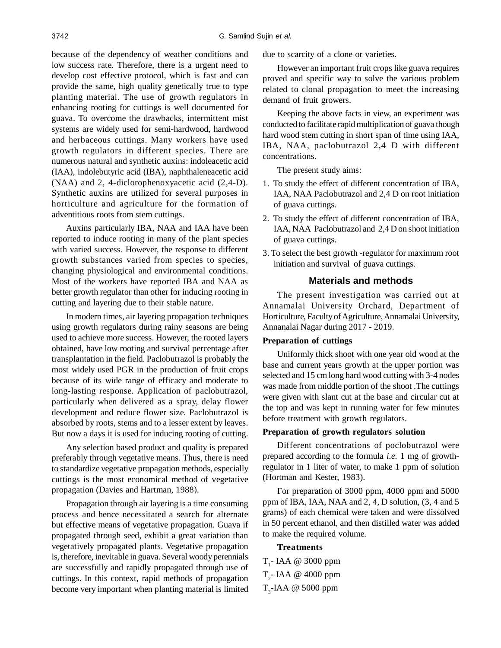because of the dependency of weather conditions and low success rate. Therefore, there is a urgent need to develop cost effective protocol, which is fast and can provide the same, high quality genetically true to type planting material. The use of growth regulators in enhancing rooting for cuttings is well documented for guava. To overcome the drawbacks, intermittent mist systems are widely used for semi-hardwood, hardwood and herbaceous cuttings. Many workers have used growth regulators in different species. There are numerous natural and synthetic auxins: indoleacetic acid (IAA), indolebutyric acid (IBA), naphthaleneacetic acid (NAA) and 2, 4-diclorophenoxyacetic acid (2,4-D). Synthetic auxins are utilized for several purposes in horticulture and agriculture for the formation of adventitious roots from stem cuttings.

Auxins particularly IBA, NAA and IAA have been reported to induce rooting in many of the plant species with varied success. However, the response to different growth substances varied from species to species, changing physiological and environmental conditions. Most of the workers have reported IBA and NAA as better growth regulator than other for inducing rooting in cutting and layering due to their stable nature.

In modern times, air layering propagation techniques using growth regulators during rainy seasons are being used to achieve more success. However, the rooted layers obtained, have low rooting and survival percentage after transplantation in the field. Paclobutrazol is probably the most widely used PGR in the production of fruit crops because of its wide range of efficacy and moderate to long-lasting response. Application of paclobutrazol, particularly when delivered as a spray, delay flower development and reduce flower size. Paclobutrazol is absorbed by roots, stems and to a lesser extent by leaves. But now a days it is used for inducing rooting of cutting.

Any selection based product and quality is prepared preferably through vegetative means. Thus, there is need to standardize vegetative propagation methods, especially cuttings is the most economical method of vegetative propagation (Davies and Hartman, 1988).

Propagation through air layering is a time consuming process and hence necessitated a search for alternate but effective means of vegetative propagation. Guava if propagated through seed, exhibit a great variation than vegetatively propagated plants. Vegetative propagation is, therefore, inevitable in guava. Several woody perennials are successfully and rapidly propagated through use of cuttings. In this context, rapid methods of propagation become very important when planting material is limited

due to scarcity of a clone or varieties.

However an important fruit crops like guava requires proved and specific way to solve the various problem related to clonal propagation to meet the increasing demand of fruit growers.

Keeping the above facts in view, an experiment was conducted to facilitate rapid multiplication of guava though hard wood stem cutting in short span of time using IAA, IBA, NAA, paclobutrazol 2,4 D with different concentrations.

The present study aims:

- 1. To study the effect of different concentration of IBA, IAA, NAA Paclobutrazol and 2,4 D on root initiation of guava cuttings.
- 2. To study the effect of different concentration of IBA, IAA, NAA Paclobutrazol and 2,4 D on shoot initiation of guava cuttings.
- 3. To select the best growth -regulator for maximum root initiation and survival of guava cuttings.

# **Materials and methods**

The present investigation was carried out at Annamalai University Orchard, Department of Horticulture, Faculty of Agriculture, Annamalai University, Annanalai Nagar during 2017 - 2019.

#### **Preparation of cuttings**

Uniformly thick shoot with one year old wood at the base and current years growth at the upper portion was selected and 15 cm long hard wood cutting with 3-4 nodes was made from middle portion of the shoot .The cuttings were given with slant cut at the base and circular cut at the top and was kept in running water for few minutes before treatment with growth regulators.

# **Preparation of growth regulators solution**

Different concentrations of poclobutrazol were prepared according to the formula *i.e.* 1 mg of growthregulator in 1 liter of water, to make 1 ppm of solution (Hortman and Kester, 1983).

For preparation of 3000 ppm, 4000 ppm and 5000 ppm of IBA, IAA, NAA and 2, 4, D solution, (3, 4 and 5 grams) of each chemical were taken and were dissolved in 50 percent ethanol, and then distilled water was added to make the required volume.

## **Treatments**

T<sub>1</sub>- IAA @ 3000 ppm  $T_{2}$ - IAA @ 4000 ppm  $T_{3}$ -IAA @ 5000 ppm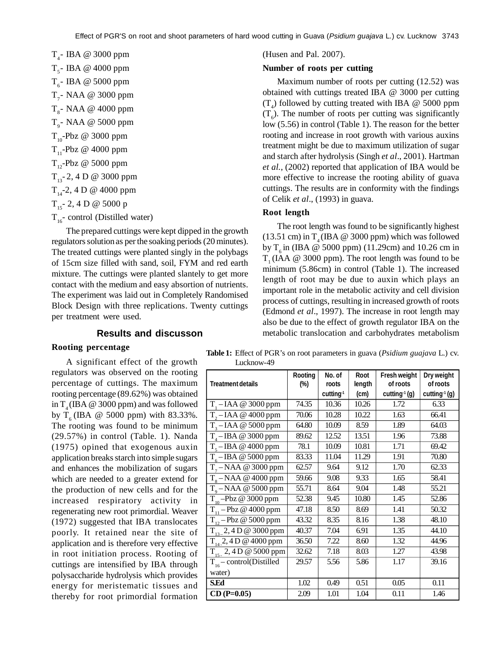T<sub>4</sub>- IBA @ 3000 ppm T<sub>5</sub>- IBA @ 4000 ppm T<sub>6</sub>- IBA @ 5000 ppm  $T_{7}$ - NAA @ 3000 ppm  $T_{8}$ - NAA @ 4000 ppm T<sub>9</sub>- NAA @ 5000 ppm  $T_{10}$ -Pbz @ 3000 ppm  $T_{11}$ -Pbz @ 4000 ppm  $T_{12}$ -Pbz @ 5000 ppm  $T_{13} - 2$ , 4 D @ 3000 ppm  $T_{14}$ -2, 4 D @ 4000 ppm  $T_{15}$ - 2, 4 D @ 5000 p  $T_{16}$ - control (Distilled water)

The prepared cuttings were kept dipped in the growth regulators solution as per the soaking periods (20 minutes). The treated cuttings were planted singly in the polybags of 15cm size filled with sand, soil, FYM and red earth mixture. The cuttings were planted slantely to get more contact with the medium and easy absortion of nutrients. The experiment was laid out in Completely Randomised Block Design with three replications. Twenty cuttings per treatment were used.

## (Husen and Pal. 2007).

## **Number of roots per cutting**

Maximum number of roots per cutting (12.52) was obtained with cuttings treated IBA @ 3000 per cutting  $(T_4)$  followed by cutting treated with IBA @ 5000 ppm  $(T_6)$ . The number of roots per cutting was significantly low (5.56) in control (Table 1). The reason for the better rooting and increase in root growth with various auxins treatment might be due to maximum utilization of sugar and starch after hydrolysis (Singh *et al*., 2001). Hartman *et al.*, (2002) reported that application of IBA would be more effective to increase the rooting ability of guava cuttings. The results are in conformity with the findings of Celik *et al*., (1993) in guava.

## **Root length**

The root length was found to be significantly highest (13.51 cm) in  $T<sub>4</sub>$  (IBA @ 3000 ppm) which was followed by  $T<sub>e</sub>$  in (IBA @ 5000 ppm) (11.29cm) and 10.26 cm in  $T_1$  (IAA  $\omega$  3000 ppm). The root length was found to be minimum (5.86cm) in control (Table 1). The increased length of root may be due to auxin which plays an important role in the metabolic activity and cell division process of cuttings, resulting in increased growth of roots (Edmond *et al*., 1997). The increase in root length may also be due to the effect of growth regulator IBA on the metabolic translocation and carbohydrates metabolism

# **Results and discusson**

#### **Rooting percentage**

A significant effect of the growth regulators was observed on the rooting percentage of cuttings. The maximum rooting percentage (89.62%) was obtained in  $T<sub>4</sub>$  (IBA @ 3000 ppm) and was followed by  $T_c$  (IBA @ 5000 ppm) with 83.33%. The rooting was found to be minimum (29.57%) in control (Table. 1). Nanda (1975) opined that exogenous auxin application breaks starch into simple sugars and enhances the mobilization of sugars which are needed to a greater extend for the production of new cells and for the increased respiratory activity in regenerating new root primordial. Weaver (1972) suggested that IBA translocates poorly. It retained near the site of application and is therefore very effective in root initiation process. Rooting of cuttings are intensified by IBA through polysaccharide hydrolysis which provides energy for meristematic tissues and thereby for root primordial formation

**Table 1:** Effect of PGR's on root parameters in guava (*Psidium guajava* L.) cv. Lucknow-49

| <b>Treatment details</b>          | Rooting<br>(%) | No. of<br>roots       | <b>Root</b><br>length | Fresh weight<br>of roots    | Dry weight<br>of roots    |
|-----------------------------------|----------------|-----------------------|-----------------------|-----------------------------|---------------------------|
|                                   |                | cutting <sup>-1</sup> | (cm)                  | cutting <sup>-1</sup> $(g)$ | cutting <sup>-1</sup> (g) |
| $T1 - IAA @ 3000 ppm$             | 74.35          | 10.36                 | 10.26                 | 1.72                        | 6.33                      |
| $T, -IAA \ @ 4000$ ppm            | 70.06          | 10.28                 | 10.22                 | 1.63                        | 66.41                     |
| $T3 - IAA @ 5000 ppm$             | 64.80          | 10.09                 | 8.59                  | 1.89                        | 64.03                     |
| $\overline{T_{4}-IBA}$ @ 3000 ppm | 89.62          | 12.52                 | 13.51                 | 1.96                        | 73.88                     |
| $T_{5}$ – IBA @ 4000 ppm          | 78.1           | 10.09                 | 10.81                 | 1.71                        | 69.42                     |
| $T_{6}$ – IBA @ 5000 ppm          | 83.33          | 11.04                 | 11.29                 | 1.91                        | 70.80                     |
| $T7 - NAA \& 3000$ ppm            | 62.57          | 9.64                  | 9.12                  | 1.70                        | 62.33                     |
| $T_s - NAA \& 4000$ ppm           | 59.66          | 9.08                  | 9.33                  | 1.65                        | 58.41                     |
| $\overline{T_{0}-NAA}$ @ 5000 ppm | 55.71          | 8.64                  | 9.04                  | 1.48                        | 55.21                     |
| $T_{10}$ -Pbz @ 3000 ppm          | 52.38          | 9.45                  | 10.80                 | 1.45                        | 52.86                     |
| $T_{11} - Pbz \ @ 4000$ ppm       | 47.18          | 8.50                  | 8.69                  | 1.41                        | 50.32                     |
| $T_{12} - Pbz \ @ 5000$ ppm       | 43.32          | 8.35                  | 8.16                  | 1.38                        | 48.10                     |
| $T_{13-}$ 2, 4 D @ 3000 ppm       | 40.37          | 7.04                  | 6.91                  | 1.35                        | 44.10                     |
| $T_{14}$ , 2, 4 D @ 4000 ppm      | 36.50          | 7.22                  | 8.60                  | 1.32                        | 44.96                     |
| $T_{15}$ , 2, 4 D @ 5000 ppm      | 32.62          | 7.18                  | 8.03                  | 1.27                        | 43.98                     |
| $T_{16}$ – control(Distilled      | 29.57          | 5.56                  | 5.86                  | 1.17                        | 39.16                     |
| water)                            |                |                       |                       |                             |                           |
| <b>S.Ed</b>                       | 1.02           | 0.49                  | 0.51                  | 0.05                        | 0.11                      |
| $CD(P=0.05)$                      | 2.09           | 1.01                  | 1.04                  | 0.11                        | 1.46                      |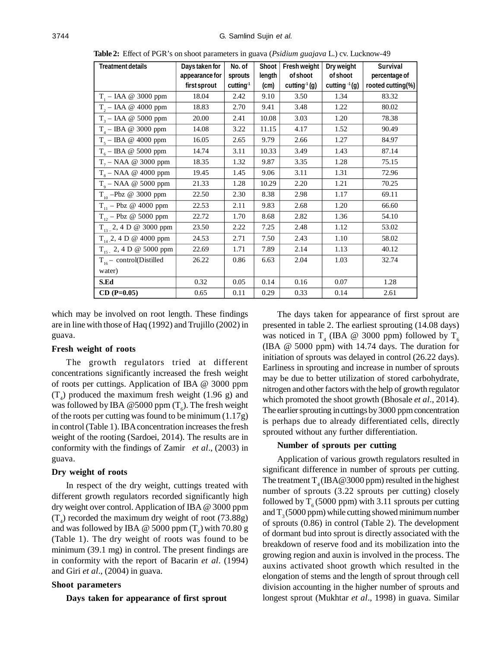| <b>Treatment details</b>                                    | Days taken for<br>appearance for | No. of<br>sprouts | Shoot  <br>length | Fresh weight<br>of shoot    | Dry weight<br>of shoot | <b>Survival</b><br>percentage of |
|-------------------------------------------------------------|----------------------------------|-------------------|-------------------|-----------------------------|------------------------|----------------------------------|
|                                                             | first sprout                     | $cutting-1$       | (cm)              | cutting <sup>-1</sup> $(g)$ | cutting $(1)(g)$       | rooted cutting(%)                |
| $T_1 - IAA \ @$ 3000 ppm                                    | 18.04                            | 2.42              | 9.10              | 3.50                        | 1.34                   | 83.32                            |
| $T2 - IAA \t Q 4000 ppm$                                    | 18.83                            | 2.70              | 9.41              | 3.48                        | 1.22                   | 80.02                            |
| $T3 - IAA \t Q 5000 ppm$                                    | 20.00                            | 2.41              | 10.08             | 3.03                        | 1.20                   | 78.38                            |
| $T_{\scriptscriptstyle{A}} - \mathrm{IBA} \ @ \ 3000 \ ppm$ | 14.08                            | 3.22              | 11.15             | 4.17                        | 1.52                   | 90.49                            |
| $T_s - IBA \ @ \ 4000$ ppm                                  | 16.05                            | 2.65              | 9.79              | 2.66                        | 1.27                   | 84.97                            |
| $T_{6}$ – IBA @ 5000 ppm                                    | 14.74                            | 3.11              | 10.33             | 3.49                        | 1.43                   | 87.14                            |
| $T7 - NAA \ @ 3000 ppm$                                     | 18.35                            | 1.32              | 9.87              | 3.35                        | 1.28                   | 75.15                            |
| $T_s$ – NAA @ 4000 ppm                                      | 19.45                            | 1.45              | 9.06              | 3.11                        | 1.31                   | 72.96                            |
| $To - NAA \ @ 5000 ppm$                                     | 21.33                            | 1.28              | 10.29             | 2.20                        | 1.21                   | 70.25                            |
| $T_{10} - Pbz \ @ \ 3000 \ ppm$                             | 22.50                            | 2.30              | 8.38              | 2.98                        | 1.17                   | 69.11                            |
| $T_{11} - Pbz \ @\ 4000$ ppm                                | 22.53                            | 2.11              | 9.83              | 2.68                        | 1.20                   | 66.60                            |
| $T_{12} - Pbz \ @ \ 5000 \ ppm$                             | 22.72                            | 1.70              | 8.68              | 2.82                        | 1.36                   | 54.10                            |
| $T_{13-}$ 2, 4 D @ 3000 ppm                                 | 23.50                            | 2.22              | 7.25              | 2.48                        | 1.12                   | 53.02                            |
| $T_{14}$ , 2, 4 D @ 4000 ppm                                | 24.53                            | 2.71              | 7.50              | 2.43                        | 1.10                   | 58.02                            |
| $T_{15}$ , 2, 4 D @ 5000 ppm                                | 22.69                            | 1.71              | 7.89              | 2.14                        | 1.13                   | 40.12                            |
| $T_{16}$ – control(Distilled                                | 26.22                            | 0.86              | 6.63              | 2.04                        | 1.03                   | 32.74                            |
| water)                                                      |                                  |                   |                   |                             |                        |                                  |
| S.Ed                                                        | 0.32                             | 0.05              | 0.14              | 0.16                        | 0.07                   | 1.28                             |
| $CD (P=0.05)$                                               | 0.65                             | 0.11              | 0.29              | 0.33                        | 0.14                   | 2.61                             |

**Table 2:** Effect of PGR's on shoot parameters in guava (*Psidium guajava* L.) cv. Lucknow-49

which may be involved on root length. These findings are in line with those of Haq (1992) and Trujillo (2002) in guava.

## **Fresh weight of roots**

The growth regulators tried at different concentrations significantly increased the fresh weight of roots per cuttings. Application of IBA @ 3000 ppm  $(T_4)$  produced the maximum fresh weight (1.96 g) and was followed by IBA @5000 ppm  $(T_{\delta})$ . The fresh weight of the roots per cutting was found to be minimum (1.17g) in control (Table 1). IBA concentration increases the fresh weight of the rooting (Sardoei, 2014). The results are in conformity with the findings of Zamir *et al*., (2003) in guava.

## **Dry weight of roots**

In respect of the dry weight, cuttings treated with different growth regulators recorded significantly high dry weight over control. Application of IBA @ 3000 ppm  $(T_4)$  recorded the maximum dry weight of root (73.88g) and was followed by IBA @ 5000 ppm  $(T_{6})$  with 70.80 g (Table 1). The dry weight of roots was found to be minimum (39.1 mg) in control. The present findings are in conformity with the report of Bacarin *et al*. (1994) and Giri *et al*., (2004) in guava.

#### **Shoot parameters**

#### **Days taken for appearance of first sprout**

The days taken for appearance of first sprout are presented in table 2. The earliest sprouting (14.08 days) was noticed in T<sub>4</sub> (IBA @ 3000 ppm) followed by T<sub>6</sub> (IBA @ 5000 ppm) with 14.74 days. The duration for initiation of sprouts was delayed in control (26.22 days). Earliness in sprouting and increase in number of sprouts may be due to better utilization of stored carbohydrate, nitrogen and other factors with the help of growth regulator which promoted the shoot growth (Bhosale *et al*., 2014). The earlier sprouting in cuttings by 3000 ppm concentration is perhaps due to already differentiated cells, directly sprouted without any further differentiation.

#### **Number of sprouts per cutting**

Application of various growth regulators resulted in significant difference in number of sprouts per cutting. The treatment  $T_{4}$  (IBA@3000 ppm) resulted in the highest number of sprouts (3.22 sprouts per cutting) closely followed by  $T_c$  (5000 ppm) with 3.11 sprouts per cutting and  $T<sub>2</sub>(5000 ppm)$  while cutting showed minimum number of sprouts (0.86) in control (Table 2). The development of dormant bud into sprout is directly associated with the breakdown of reserve food and its mobilization into the growing region and auxin is involved in the process. The auxins activated shoot growth which resulted in the elongation of stems and the length of sprout through cell division accounting in the higher number of sprouts and longest sprout (Mukhtar *et al*., 1998) in guava. Similar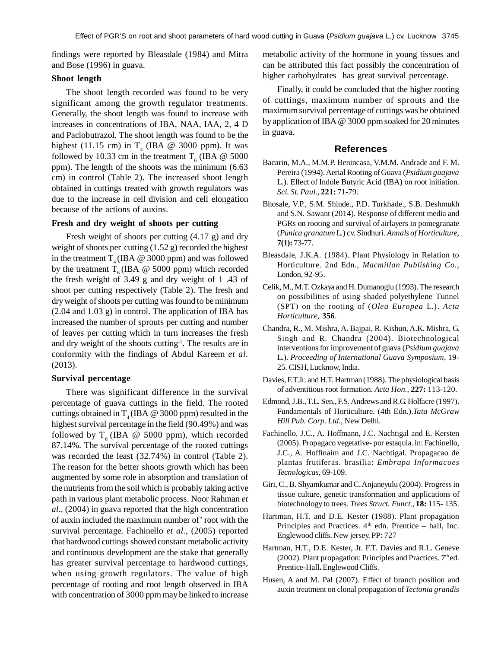findings were reported by Bleasdale (1984) and Mitra and Bose (1996) in guava.

## **Shoot length**

The shoot length recorded was found to be very significant among the growth regulator treatments. Generally, the shoot length was found to increase with increases in concentrations of IBA, NAA, IAA, 2, 4 D and Paclobutrazol. The shoot length was found to be the highest (11.15 cm) in  $T_4$  (IBA @ 3000 ppm). It was followed by 10.33 cm in the treatment  $T_6$  (IBA @ 5000 ppm). The length of the shoots was the minimum (6.63 cm) in control (Table 2). The increased shoot length obtained in cuttings treated with growth regulators was due to the increase in cell division and cell elongation because of the actions of auxins.

## **Fresh and dry weight of shoots per cutting**

Fresh weight of shoots per cutting (4.17 g) and dry weight of shoots per cutting (1.52 g) recorded the highest in the treatment  $T<sub>4</sub>$  (IBA @ 3000 ppm) and was followed by the treatment  $T_c$  (IBA @ 5000 ppm) which recorded the fresh weight of 3.49 g and dry weight of 1 .43 of shoot per cutting respectively (Table 2). The fresh and dry weight of shoots per cutting was found to be minimum (2.04 and 1.03 g) in control. The application of IBA has increased the number of sprouts per cutting and number of leaves per cutting which in turn increases the fresh and dry weight of the shoots cutting-1. The results are in conformity with the findings of Abdul Kareem *et al.* (2013).

#### **Survival percentage**

There was significant difference in the survival percentage of guava cuttings in the field. The rooted cuttings obtained in  $T<sub>4</sub>$  (IBA @ 3000 ppm) resulted in the highest survival percentage in the field (90.49%) and was followed by  $T<sub>6</sub>$  (IBA @ 5000 ppm), which recorded 87.14%. The survival percentage of the rooted cuttings was recorded the least (32.74%) in control (Table 2). The reason for the better shoots growth which has been augmented by some role in absorption and translation of the nutrients from the soil which is probably taking active path in various plant metabolic process. Noor Rahman *et al.,* (2004) in guava reported that the high concentration of auxin included the maximum number of' root with the survival percentage. Fachinello *et al.,* (2005) reported that hardwood cuttings showed constant metabolic activity and continuous development are the stake that generally has greater survival percentage to hardwood cuttings, when using growth regulators. The value of high percentage of rooting and root length observed in IBA with concentration of 3000 ppm may be linked to increase metabolic activity of the hormone in young tissues and can be attributed this fact possibly the concentration of higher carbohydrates has great survival percentage.

Finally, it could be concluded that the higher rooting of cuttings, maximum number of sprouts and the maximum survival percentage of cuttings was be obtained by application of IBA @ 3000 ppm soaked for 20 minutes in guava.

#### **References**

- Bacarin, M.A., M.M.P. Benincasa, V.M.M. Andrade and F. M. Pereira (1994). Aerial Rooting of Guava (*Psidium guajava* L.). Effect of Indole Butyric Acid (IBA) on root initiation. *Sci. St. Paul.,* **221:** 71-79.
- Bhosale, V.P., S.M. Shinde., P.D. Turkhade., S.B. Deshmukh and S.N. Sawant (2014). Response of different media and PGRs on rooting and survival of airlayers in pomegranate (*Punica granatum* L.) cv. Sindhuri. *Annals of Horticulture,* **7(1):** 73-77.
- Bleasdale, J.K.A. (1984). Plant Physiology in Relation to Horticulture. 2nd Edn., *Macmillan Publishing Co.,* London, 92-95.
- Celik, M., M.T. Ozkaya and H. Dumanoglu (1993). The research on possibilities of using shaded polyethylene Tunnel (SPT) on the rooting of (*Olea Europea* L.). *Acta Horticulture,* **356**.
- Chandra, R., M. Mishra, A. Bajpai, R. Kishun, A.K. Mishra, G. Singh and R. Chandra (2004). Biotechnological interventions for improvement of guava (*Psidium guajava* L.). *Proceeding of International Guava Symposium,* 19- 25. CISH, Lucknow, India.
- Davies, F.T.Jr. and H.T. Hartman (1988). The physiological basis of adventitious root formation. *Acta Hon.,* **227:** 113-120.
- Edmond, J.B., T.L. Sen., F.S. Andrews and R.G. Holfacre (1997). Fundamentals of Horticulture. (4th Edn.).*Tata McGraw Hill Pub. Corp. Ltd.,* New Delhi.
- Fachinello, J.C., A. Hoffmann, J.C. Nachtigal and E. Kersten (2005). Propagaco vegetative- por estaquia. in: Fachinello, J.C., A. Hoffinaim and J.C. Nachtigal. Propagacao de plantas frutiferas. brasilia: *Embrapa Informacoes Tecnologicas,* 69-109.
- Giri, C., B. Shyamkumar and C. Anjaneyulu (2004). Progress in tissue culture, genetic transformation and applications of biotechnology to trees. *Trees Struct. Funct.,* **18:** 115- 135.
- Hartman, H.T. and D.E. Kester (1988). Plant propagation Principles and Practices.  $4<sup>th</sup>$  edn. Prentice – hall, Inc. Englewood cliffs. New jersey. PP: 727
- Hartman, H.T., D.E. Kester, Jr. F.T. Davies and R.L. Geneve (2002). Plant propagation: Principles and Practices.  $7<sup>th</sup>$ ed. Prentice-Hall**.** Englewood Cliffs.
- Husen, A and M. Pal (2007). Effect of branch position and auxin treatment on clonal propagation of *Tectonia grandis*